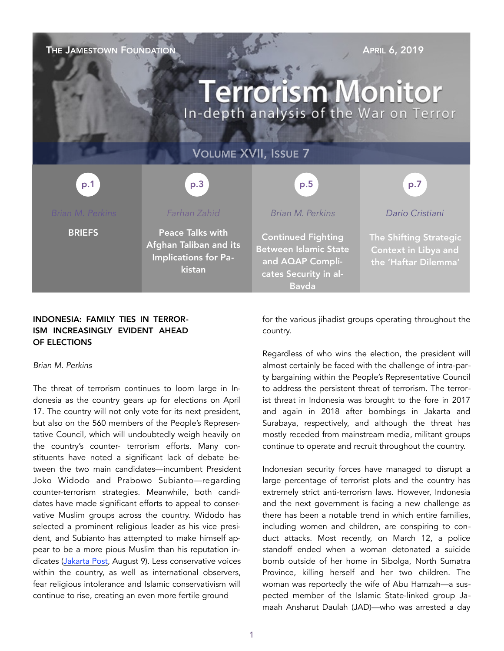| THE JAMESTOWN FOUNDATION<br><b>APRIL 6, 2019</b><br><b>Terrorism Monitor</b><br>In-depth analysis of the War on Terror |                                                                                     |                                                                                                                        |                                                                        |
|------------------------------------------------------------------------------------------------------------------------|-------------------------------------------------------------------------------------|------------------------------------------------------------------------------------------------------------------------|------------------------------------------------------------------------|
| <b>VOLUME XVII, ISSUE 7</b>                                                                                            |                                                                                     |                                                                                                                        |                                                                        |
| p.1                                                                                                                    | p.3                                                                                 | p.5                                                                                                                    | p.7                                                                    |
| <b>Brian M. Perkins</b>                                                                                                | Farhan Zahid                                                                        | <b>Brian M. Perkins</b>                                                                                                | Dario Cristiani                                                        |
| <b>BRIEFS</b>                                                                                                          | <b>Peace Talks with</b><br>Afghan Taliban and its<br>Implications for Pa-<br>kistan | <b>Continued Fighting</b><br><b>Between Islamic State</b><br>and AQAP Compli-<br>cates Security in al-<br><b>Bavda</b> | The Shifting Strategic<br>Context in Libya and<br>the 'Haftar Dilemma' |

## INDONESIA: FAMILY TIES IN TERROR-ISM INCREASINGLY EVIDENT AHEAD OF ELECTIONS

#### *Brian M. Perkins*

The threat of terrorism continues to loom large in Indonesia as the country gears up for elections on April 17. The country will not only vote for its next president, but also on the 560 members of the People's Representative Council, which will undoubtedly weigh heavily on the country's counter- terrorism efforts. Many constituents have noted a significant lack of debate between the two main candidates—incumbent President Joko Widodo and Prabowo Subianto—regarding counter-terrorism strategies. Meanwhile, both candidates have made significant efforts to appeal to conservative Muslim groups across the country. Widodo has selected a prominent religious leader as his vice president, and Subianto has attempted to make himself appear to be a more pious Muslim than his reputation in-dicates [\(Jakarta Post,](https://www.thejakartapost.com/news/2018/08/09/breaking-mui-chief-maruf-amien-tapped-as-jokowis-running-mate.html) August 9). Less conservative voices within the country, as well as international observers, fear religious intolerance and Islamic conservativism will continue to rise, creating an even more fertile ground

for the various jihadist groups operating throughout the country.

Regardless of who wins the election, the president will almost certainly be faced with the challenge of intra-party bargaining within the People's Representative Council to address the persistent threat of terrorism. The terrorist threat in Indonesia was brought to the fore in 2017 and again in 2018 after bombings in Jakarta and Surabaya, respectively, and although the threat has mostly receded from mainstream media, militant groups continue to operate and recruit throughout the country.

Indonesian security forces have managed to disrupt a large percentage of terrorist plots and the country has extremely strict anti-terrorism laws. However, Indonesia and the next government is facing a new challenge as there has been a notable trend in which entire families, including women and children, are conspiring to conduct attacks. Most recently, on March 12, a police standoff ended when a woman detonated a suicide bomb outside of her home in Sibolga, North Sumatra Province, killing herself and her two children. The woman was reportedly the wife of Abu Hamzah—a suspected member of the Islamic State-linked group Jamaah Ansharut Daulah (JAD)—who was arrested a day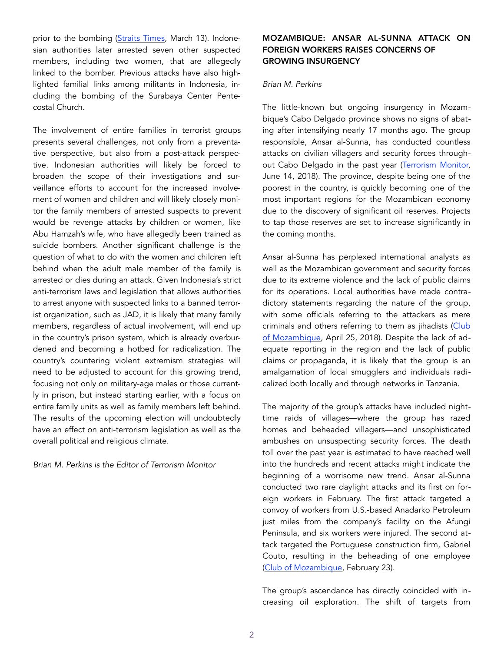prior to the bombing ([Straits Times](https://www.straitstimes.com/asia/se-asia/woman-be), March 13). Indonesian authorities later arrested seven other suspected members, including two women, that are allegedly linked to the bomber. Previous attacks have also highlighted familial links among militants in Indonesia, including the bombing of the Surabaya Center Pentecostal Church.

The involvement of entire families in terrorist groups presents several challenges, not only from a preventative perspective, but also from a post-attack perspective. Indonesian authorities will likely be forced to broaden the scope of their investigations and surveillance efforts to account for the increased involvement of women and children and will likely closely monitor the family members of arrested suspects to prevent would be revenge attacks by children or women, like Abu Hamzah's wife, who have allegedly been trained as suicide bombers. Another significant challenge is the question of what to do with the women and children left behind when the adult male member of the family is arrested or dies during an attack. Given Indonesia's strict anti-terrorism laws and legislation that allows authorities to arrest anyone with suspected links to a banned terrorist organization, such as JAD, it is likely that many family members, regardless of actual involvement, will end up in the country's prison system, which is already overburdened and becoming a hotbed for radicalization. The country's countering violent extremism strategies will need to be adjusted to account for this growing trend, focusing not only on military-age males or those currently in prison, but instead starting earlier, with a focus on entire family units as well as family members left behind. The results of the upcoming election will undoubtedly have an effect on anti-terrorism legislation as well as the overall political and religious climate.

*Brian M. Perkins is the Editor of Terrorism Monitor* 

## MOZAMBIQUE: ANSAR AL-SUNNA ATTACK ON FOREIGN WORKERS RAISES CONCERNS OF GROWING INSURGENCY

### *Brian M. Perkins*

The little-known but ongoing insurgency in Mozambique's Cabo Delgado province shows no signs of abating after intensifying nearly 17 months ago. The group responsible, Ansar al-Sunna, has conducted countless attacks on civilian villagers and security forces throughout Cabo Delgado in the past year [\(Terrorism Monitor,](https://jamestown.org/program/ansar-al-sunna-a-new-militant-islamist-group-emerges-in-mozambique/) June 14, 2018). The province, despite being one of the poorest in the country, is quickly becoming one of the most important regions for the Mozambican economy due to the discovery of significant oil reserves. Projects to tap those reserves are set to increase significantly in the coming months.

Ansar al-Sunna has perplexed international analysts as well as the Mozambican government and security forces due to its extreme violence and the lack of public claims for its operations. Local authorities have made contradictory statements regarding the nature of the group, with some officials referring to the attackers as mere criminals and others referring to them as jihadists ([Club](https://clubofmozambique.com/news/no-attacks-in-cabo-delgado-just-crimes-say-police-mozambique/)  [of Mozambique,](https://clubofmozambique.com/news/no-attacks-in-cabo-delgado-just-crimes-say-police-mozambique/) April 25, 2018). Despite the lack of adequate reporting in the region and the lack of public claims or propaganda, it is likely that the group is an amalgamation of local smugglers and individuals radicalized both locally and through networks in Tanzania.

The majority of the group's attacks have included nighttime raids of villages—where the group has razed homes and beheaded villagers—and unsophisticated ambushes on unsuspecting security forces. The death toll over the past year is estimated to have reached well into the hundreds and recent attacks might indicate the beginning of a worrisome new trend. Ansar al-Sunna conducted two rare daylight attacks and its first on foreign workers in February. The first attack targeted a convoy of workers from U.S.-based Anadarko Petroleum just miles from the company's facility on the Afungi Peninsula, and six workers were injured. The second attack targeted the Portuguese construction firm, Gabriel Couto, resulting in the beheading of one employee ([Club of Mozambique,](https://clubofmozambique.com/news/aim-report-attack-against-) February 23).

The group's ascendance has directly coincided with increasing oil exploration. The shift of targets from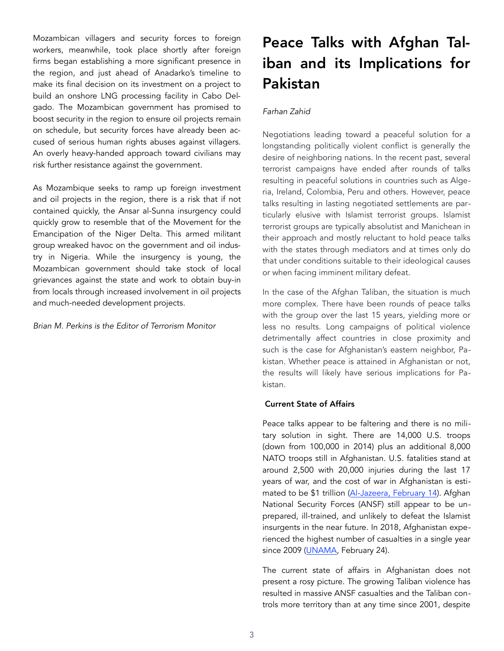Mozambican villagers and security forces to foreign workers, meanwhile, took place shortly after foreign firms began establishing a more significant presence in the region, and just ahead of Anadarko's timeline to make its final decision on its investment on a project to build an onshore LNG processing facility in Cabo Delgado. The Mozambican government has promised to boost security in the region to ensure oil projects remain on schedule, but security forces have already been accused of serious human rights abuses against villagers. An overly heavy-handed approach toward civilians may risk further resistance against the government.

As Mozambique seeks to ramp up foreign investment and oil projects in the region, there is a risk that if not contained quickly, the Ansar al-Sunna insurgency could quickly grow to resemble that of the Movement for the Emancipation of the Niger Delta. This armed militant group wreaked havoc on the government and oil industry in Nigeria. While the insurgency is young, the Mozambican government should take stock of local grievances against the state and work to obtain buy-in from locals through increased involvement in oil projects and much-needed development projects.

*Brian M. Perkins is the Editor of Terrorism Monitor* 

# Peace Talks with Afghan Taliban and its Implications for Pakistan

## *Farhan Zahid*

Negotiations leading toward a peaceful solution for a longstanding politically violent conflict is generally the desire of neighboring nations. In the recent past, several terrorist campaigns have ended after rounds of talks resulting in peaceful solutions in countries such as Algeria, Ireland, Colombia, Peru and others. However, peace talks resulting in lasting negotiated settlements are particularly elusive with Islamist terrorist groups. Islamist terrorist groups are typically absolutist and Manichean in their approach and mostly reluctant to hold peace talks with the states through mediators and at times only do that under conditions suitable to their ideological causes or when facing imminent military defeat.

In the case of the Afghan Taliban, the situation is much more complex. There have been rounds of peace talks with the group over the last 15 years, yielding more or less no results. Long campaigns of political violence detrimentally affect countries in close proximity and such is the case for Afghanistan's eastern neighbor, Pakistan. Whether peace is attained in Afghanistan or not, the results will likely have serious implications for Pakistan.

### Current State of Affairs

Peace talks appear to be faltering and there is no military solution in sight. There are 14,000 U.S. troops (down from 100,000 in 2014) plus an additional 8,000 NATO troops still in Afghanistan. U.S. fatalities stand at around 2,500 with 20,000 injuries during the last 17 years of war, and the cost of war in Afghanistan is estimated to be \$1 trillion [\(Al-Jazeera,](https://www.aljazeera.com/news/2019/02/vows-work-allies-afghanistan-withdrawal-190214145429798.html) February 14). Afghan National Security Forces (ANSF) still appear to be unprepared, ill-trained, and unlikely to defeat the Islamist insurgents in the near future. In 2018, Afghanistan experienced the highest number of casualties in a single year since 2009 ([UNAMA,](https://unama.unmissions.org/civilia) February 24).

The current state of affairs in Afghanistan does not present a rosy picture. The growing Taliban violence has resulted in massive ANSF casualties and the Taliban controls more territory than at any time since 2001, despite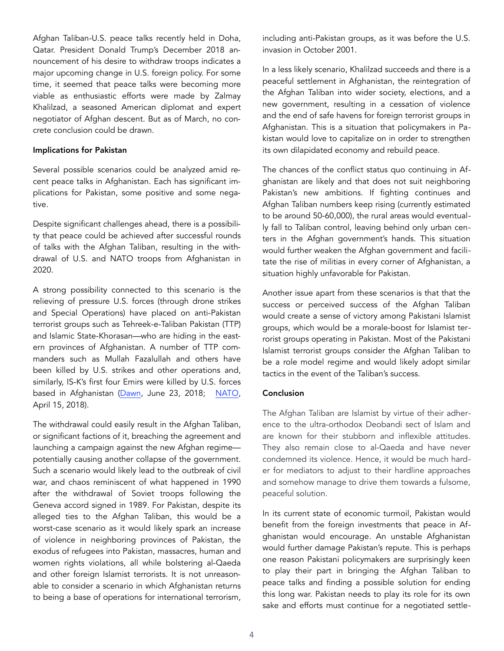Afghan Taliban-U.S. peace talks recently held in Doha, Qatar. President Donald Trump's December 2018 announcement of his desire to withdraw troops indicates a major upcoming change in U.S. foreign policy. For some time, it seemed that peace talks were becoming more viable as enthusiastic efforts were made by Zalmay Khalilzad, a seasoned American diplomat and expert negotiator of Afghan descent. But as of March, no concrete conclusion could be drawn.

#### Implications for Pakistan

Several possible scenarios could be analyzed amid recent peace talks in Afghanistan. Each has significant implications for Pakistan, some positive and some negative.

Despite significant challenges ahead, there is a possibility that peace could be achieved after successful rounds of talks with the Afghan Taliban, resulting in the withdrawal of U.S. and NATO troops from Afghanistan in 2020.

A strong possibility connected to this scenario is the relieving of pressure U.S. forces (through drone strikes and Special Operations) have placed on anti-Pakistan terrorist groups such as Tehreek-e-Taliban Pakistan (TTP) and Islamic State-Khorasan—who are hiding in the eastern provinces of Afghanistan. A number of TTP commanders such as Mullah Fazalullah and others have been killed by U.S. strikes and other operations and, similarly, IS-K's first four Emirs were killed by U.S. forces based in Afghanistan ([Dawn](https://www.dawn.com/news/1415660), June 23, 2018; [NATO,](https://rs.nato.int/news-center/press-releases/2018-press-releases/afghan-and-us-special-operations-decimate-isk-in-northern-afghanistan.aspx) April 15, 2018).

The withdrawal could easily result in the Afghan Taliban, or significant factions of it, breaching the agreement and launching a campaign against the new Afghan regime potentially causing another collapse of the government. Such a scenario would likely lead to the outbreak of civil war, and chaos reminiscent of what happened in 1990 after the withdrawal of Soviet troops following the Geneva accord signed in 1989. For Pakistan, despite its alleged ties to the Afghan Taliban, this would be a worst-case scenario as it would likely spark an increase of violence in neighboring provinces of Pakistan, the exodus of refugees into Pakistan, massacres, human and women rights violations, all while bolstering al-Qaeda and other foreign Islamist terrorists. It is not unreasonable to consider a scenario in which Afghanistan returns to being a base of operations for international terrorism,

including anti-Pakistan groups, as it was before the U.S. invasion in October 2001.

In a less likely scenario, Khalilzad succeeds and there is a peaceful settlement in Afghanistan, the reintegration of the Afghan Taliban into wider society, elections, and a new government, resulting in a cessation of violence and the end of safe havens for foreign terrorist groups in Afghanistan. This is a situation that policymakers in Pakistan would love to capitalize on in order to strengthen its own dilapidated economy and rebuild peace.

The chances of the conflict status quo continuing in Afghanistan are likely and that does not suit neighboring Pakistan's new ambitions. If fighting continues and Afghan Taliban numbers keep rising (currently estimated to be around 50-60,000), the rural areas would eventually fall to Taliban control, leaving behind only urban centers in the Afghan government's hands. This situation would further weaken the Afghan government and facilitate the rise of militias in every corner of Afghanistan, a situation highly unfavorable for Pakistan.

Another issue apart from these scenarios is that that the success or perceived success of the Afghan Taliban would create a sense of victory among Pakistani Islamist groups, which would be a morale-boost for Islamist terrorist groups operating in Pakistan. Most of the Pakistani Islamist terrorist groups consider the Afghan Taliban to be a role model regime and would likely adopt similar tactics in the event of the Taliban's success.

### **Conclusion**

The Afghan Taliban are Islamist by virtue of their adherence to the ultra-orthodox Deobandi sect of Islam and are known for their stubborn and inflexible attitudes. They also remain close to al-Qaeda and have never condemned its violence. Hence, it would be much harder for mediators to adjust to their hardline approaches and somehow manage to drive them towards a fulsome, peaceful solution.

In its current state of economic turmoil, Pakistan would benefit from the foreign investments that peace in Afghanistan would encourage. An unstable Afghanistan would further damage Pakistan's repute. This is perhaps one reason Pakistani policymakers are surprisingly keen to play their part in bringing the Afghan Taliban to peace talks and finding a possible solution for ending this long war. Pakistan needs to play its role for its own sake and efforts must continue for a negotiated settle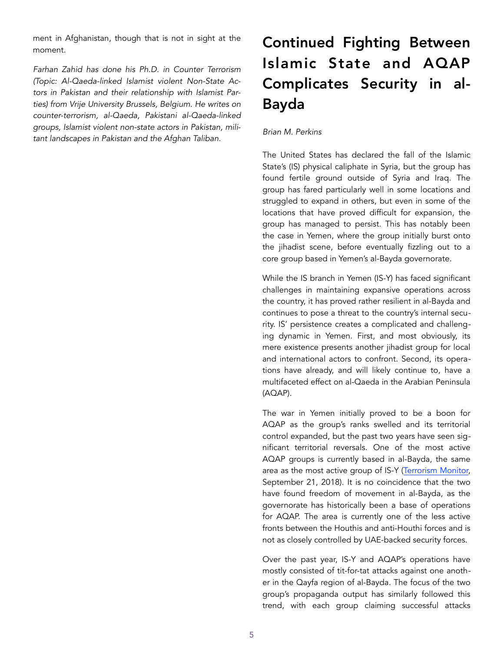ment in Afghanistan, though that is not in sight at the moment.

*Farhan Zahid has done his Ph.D. in Counter Terrorism (Topic: Al-Qaeda-linked Islamist violent Non-State Actors in Pakistan and their relationship with Islamist Parties) from Vrije University Brussels, Belgium. He writes on counter-terrorism, al-Qaeda, Pakistani al-Qaeda-linked groups, Islamist violent non-state actors in Pakistan, militant landscapes in Pakistan and the Afghan Taliban.* 

# Continued Fighting Between Islamic State and AQAP Complicates Security in al-Bayda

### *Brian M. Perkins*

The United States has declared the fall of the Islamic State's (IS) physical caliphate in Syria, but the group has found fertile ground outside of Syria and Iraq. The group has fared particularly well in some locations and struggled to expand in others, but even in some of the locations that have proved difficult for expansion, the group has managed to persist. This has notably been the case in Yemen, where the group initially burst onto the jihadist scene, before eventually fizzling out to a core group based in Yemen's al-Bayda governorate.

While the IS branch in Yemen (IS-Y) has faced significant challenges in maintaining expansive operations across the country, it has proved rather resilient in al-Bayda and continues to pose a threat to the country's internal security. IS' persistence creates a complicated and challenging dynamic in Yemen. First, and most obviously, its mere existence presents another jihadist group for local and international actors to confront. Second, its operations have already, and will likely continue to, have a multifaceted effect on al-Qaeda in the Arabian Peninsula (AQAP).

The war in Yemen initially proved to be a boon for AQAP as the group's ranks swelled and its territorial control expanded, but the past two years have seen significant territorial reversals. One of the most active AQAP groups is currently based in al-Bayda, the same area as the most active group of IS-Y ([Terrorism Monitor,](https://james) September 21, 2018). It is no coincidence that the two have found freedom of movement in al-Bayda, as the governorate has historically been a base of operations for AQAP. The area is currently one of the less active fronts between the Houthis and anti-Houthi forces and is not as closely controlled by UAE-backed security forces.

Over the past year, IS-Y and AQAP's operations have mostly consisted of tit-for-tat attacks against one another in the Qayfa region of al-Bayda. The focus of the two group's propaganda output has similarly followed this trend, with each group claiming successful attacks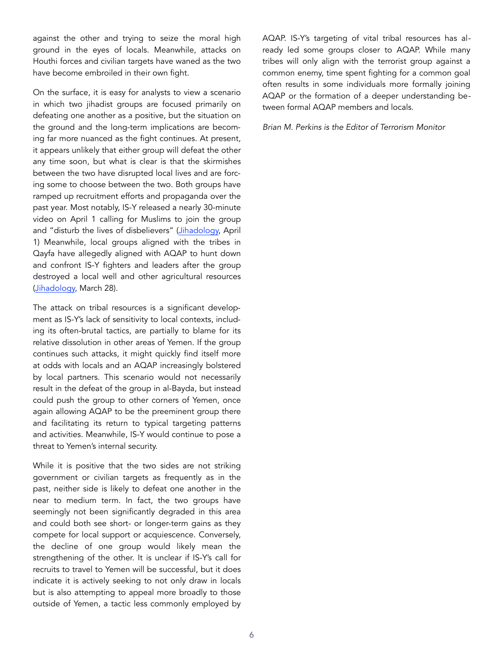against the other and trying to seize the moral high ground in the eyes of locals. Meanwhile, attacks on Houthi forces and civilian targets have waned as the two have become embroiled in their own fight.

On the surface, it is easy for analysts to view a scenario in which two jihadist groups are focused primarily on defeating one another as a positive, but the situation on the ground and the long-term implications are becoming far more nuanced as the fight continues. At present, it appears unlikely that either group will defeat the other any time soon, but what is clear is that the skirmishes between the two have disrupted local lives and are forcing some to choose between the two. Both groups have ramped up recruitment efforts and propaganda over the past year. Most notably, IS-Y released a nearly 30-minute video on April 1 calling for Muslims to join the group and "disturb the lives of disbelievers" [\(Jihadology,](https://jihadology.net/2019/04/01/new-video-message-from-the-islamic-state-you-adhere-heavily-to-the-earth-wilayat-al-yaman-al-bay%E1%B8%8Da/) April 1) Meanwhile, local groups aligned with the tribes in Qayfa have allegedly aligned with AQAP to hunt down and confront IS-Y fighters and leaders after the group destroyed a local well and other agricultural resources ([Jihadology,](https://jiha) March 28).

The attack on tribal resources is a significant development as IS-Y's lack of sensitivity to local contexts, including its often-brutal tactics, are partially to blame for its relative dissolution in other areas of Yemen. If the group continues such attacks, it might quickly find itself more at odds with locals and an AQAP increasingly bolstered by local partners. This scenario would not necessarily result in the defeat of the group in al-Bayda, but instead could push the group to other corners of Yemen, once again allowing AQAP to be the preeminent group there and facilitating its return to typical targeting patterns and activities. Meanwhile, IS-Y would continue to pose a threat to Yemen's internal security.

While it is positive that the two sides are not striking government or civilian targets as frequently as in the past, neither side is likely to defeat one another in the near to medium term. In fact, the two groups have seemingly not been significantly degraded in this area and could both see short- or longer-term gains as they compete for local support or acquiescence. Conversely, the decline of one group would likely mean the strengthening of the other. It is unclear if IS-Y's call for recruits to travel to Yemen will be successful, but it does indicate it is actively seeking to not only draw in locals but is also attempting to appeal more broadly to those outside of Yemen, a tactic less commonly employed by AQAP. IS-Y's targeting of vital tribal resources has already led some groups closer to AQAP. While many tribes will only align with the terrorist group against a common enemy, time spent fighting for a common goal often results in some individuals more formally joining AQAP or the formation of a deeper understanding between formal AQAP members and locals.

*Brian M. Perkins is the Editor of Terrorism Monitor*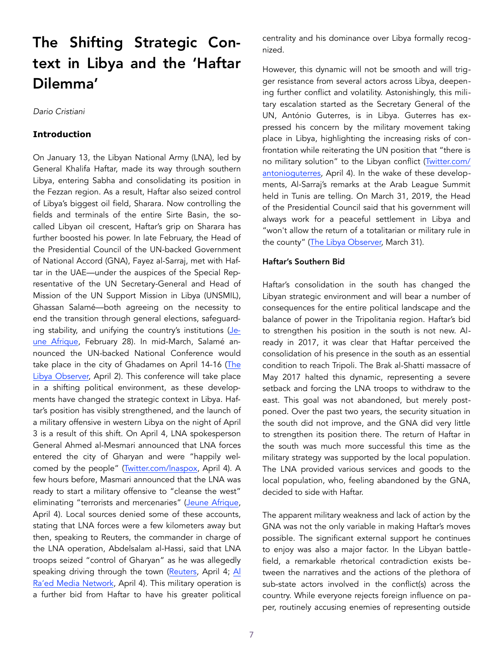# The Shifting Strategic Context in Libya and the 'Haftar Dilemma'

*Dario Cristiani* 

### **Introduction**

On January 13, the Libyan National Army (LNA), led by General Khalifa Haftar, made its way through southern Libya, entering Sabha and consolidating its position in the Fezzan region. As a result, Haftar also seized control of Libya's biggest oil field, Sharara. Now controlling the fields and terminals of the entire Sirte Basin, the socalled Libyan oil crescent, Haftar's grip on Sharara has further boosted his power. In late February, the Head of the Presidential Council of the UN-backed Government of National Accord (GNA), Fayez al-Sarraj, met with Haftar in the UAE—under the auspices of the Special Representative of the UN Secretary-General and Head of Mission of the UN Support Mission in Libya (UNSMIL), Ghassan Salamé—both agreeing on the necessity to end the transition through general elections, safeguard-ing stability, and unifying the country's institutions ([Je](https://www.jeuneafrique.com/742905/politique/libye-les-enjeux-derriere-laccord-dabou-dhabi-entre-fayez-al-sarraj-et-khalifa-haftar/)[une Afrique](https://www.jeuneafrique.com/742905/politique/libye-les-enjeux-derriere-laccord-dabou-dhabi-entre-fayez-al-sarraj-et-khalifa-haftar/), February 28). In mid-March, Salamé announced the UN-backed National Conference would take place in the city of Ghadames on April 14-16 ([The](https://www.libyaobserver.ly/inbrief/mayor-ghadames-ghadames-ready-holding-national-co)  [Libya Observer,](https://www.libyaobserver.ly/inbrief/mayor-ghadames-ghadames-ready-holding-national-co) April 2). This conference will take place in a shifting political environment, as these developments have changed the strategic context in Libya. Haftar's position has visibly strengthened, and the launch of a military offensive in western Libya on the night of April 3 is a result of this shift. On April 4, LNA spokesperson General Ahmed al-Mesmari announced that LNA forces entered the city of Gharyan and were "happily welcomed by the people" ([Twitter.com/lnaspox,](https://twitter) April 4). A few hours before, Masmari announced that the LNA was ready to start a military offensive to "cleanse the west" eliminating "terrorists and mercenaries" [\(Jeune Afrique,](https://www.jeun) April 4). Local sources denied some of these accounts, stating that LNA forces were a few kilometers away but then, speaking to Reuters, the commander in charge of the LNA operation, Abdelsalam al-Hassi, said that LNA troops seized "control of Gharyan" as he was allegedly speaking driving through the town [\(Reuters,](https://www.reuters.com/article/us-libya-security/east) April 4; Al [Ra'ed Media Network](https://www.arraedlg.net/2019/04/04/%25D8%25B9%25D9%2585%25D9%258A%25D8%25AF-%25D8%25BA%25D8%25B1%25D9%258A%25D8%25A7%25D9%2586-%25D9%2582%25D9%2588%25D8%25A7%25D8%25AA-%25D8%25AD%25D9%2581%25D8%25AA%25D8%25B1-%25), April 4). This military operation is a further bid from Haftar to have his greater political centrality and his dominance over Libya formally recognized.

However, this dynamic will not be smooth and will trigger resistance from several actors across Libya, deepening further conflict and volatility. Astonishingly, this military escalation started as the Secretary General of the UN, António Guterres, is in Libya. Guterres has expressed his concern by the military movement taking place in Libya, highlighting the increasing risks of confrontation while reiterating the UN position that "there is no military solution" to the Libyan conflict [\(Twitter.com/](https://twitter.com/antonioguterres/status/1113703749355225088) [antonioguterres,](https://twitter.com/antonioguterres/status/1113703749355225088) April 4). In the wake of these developments, Al-Sarraj's remarks at the Arab League Summit held in Tunis are telling. On March 31, 2019, the Head of the Presidential Council said that his government will always work for a peaceful settlement in Libya and "won't allow the return of a totalitarian or military rule in the county" ([The Libya Observer,](https://www.libyaobserver.ly/news/al-sarraj-) March 31).

#### Haftar's Southern Bid

Haftar's consolidation in the south has changed the Libyan strategic environment and will bear a number of consequences for the entire political landscape and the balance of power in the Tripolitania region. Haftar's bid to strengthen his position in the south is not new. Already in 2017, it was clear that Haftar perceived the consolidation of his presence in the south as an essential condition to reach Tripoli. The Brak al-Shatti massacre of May 2017 halted this dynamic, representing a severe setback and forcing the LNA troops to withdraw to the east. This goal was not abandoned, but merely postponed. Over the past two years, the security situation in the south did not improve, and the GNA did very little to strengthen its position there. The return of Haftar in the south was much more successful this time as the military strategy was supported by the local population. The LNA provided various services and goods to the local population, who, feeling abandoned by the GNA, decided to side with Haftar.

The apparent military weakness and lack of action by the GNA was not the only variable in making Haftar's moves possible. The significant external support he continues to enjoy was also a major factor. In the Libyan battlefield, a remarkable rhetorical contradiction exists between the narratives and the actions of the plethora of sub-state actors involved in the conflict(s) across the country. While everyone rejects foreign influence on paper, routinely accusing enemies of representing outside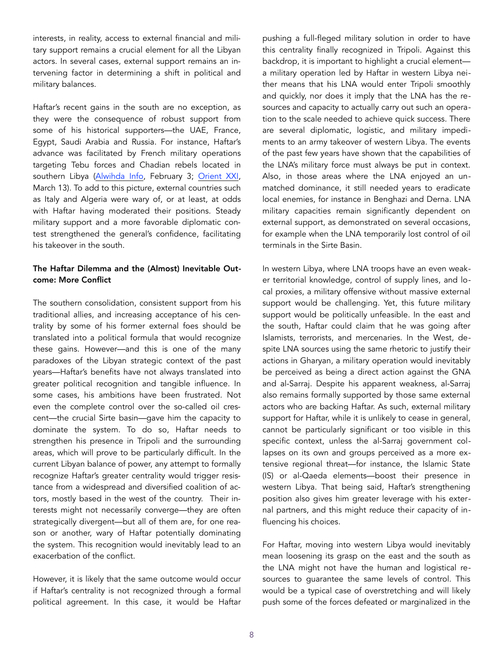interests, in reality, access to external financial and military support remains a crucial element for all the Libyan actors. In several cases, external support remains an intervening factor in determining a shift in political and military balances.

Haftar's recent gains in the south are no exception, as they were the consequence of robust support from some of his historical supporters—the UAE, France, Egypt, Saudi Arabia and Russia. For instance, Haftar's advance was facilitated by French military operations targeting Tebu forces and Chadian rebels located in southern Libya [\(Alwihda Info](https://www.alwihdainfo.com/La-rebellion-tchadienne-preoccupee-par-la-situation-securitaire-deletere-en-Libye_a70361.html), February 3; Orient XXI, March 13). To add to this picture, external countries such as Italy and Algeria were wary of, or at least, at odds with Haftar having moderated their positions. Steady military support and a more favorable diplomatic contest strengthened the general's confidence, facilitating his takeover in the south.

## The Haftar Dilemma and the (Almost) Inevitable Outcome: More Conflict

The southern consolidation, consistent support from his traditional allies, and increasing acceptance of his centrality by some of his former external foes should be translated into a political formula that would recognize these gains. However—and this is one of the many paradoxes of the Libyan strategic context of the past years—Haftar's benefits have not always translated into greater political recognition and tangible influence. In some cases, his ambitions have been frustrated. Not even the complete control over the so-called oil crescent—the crucial Sirte basin—gave him the capacity to dominate the system. To do so, Haftar needs to strengthen his presence in Tripoli and the surrounding areas, which will prove to be particularly difficult. In the current Libyan balance of power, any attempt to formally recognize Haftar's greater centrality would trigger resistance from a widespread and diversified coalition of actors, mostly based in the west of the country. Their interests might not necessarily converge—they are often strategically divergent—but all of them are, for one reason or another, wary of Haftar potentially dominating the system. This recognition would inevitably lead to an exacerbation of the conflict.

However, it is likely that the same outcome would occur if Haftar's centrality is not recognized through a formal political agreement. In this case, it would be Haftar pushing a full-fleged military solution in order to have this centrality finally recognized in Tripoli. Against this backdrop, it is important to highlight a crucial element a military operation led by Haftar in western Libya neither means that his LNA would enter Tripoli smoothly and quickly, nor does it imply that the LNA has the resources and capacity to actually carry out such an operation to the scale needed to achieve quick success. There are several diplomatic, logistic, and military impediments to an army takeover of western Libya. The events of the past few years have shown that the capabilities of the LNA's military force must always be put in context. Also, in those areas where the LNA enjoyed an unmatched dominance, it still needed years to eradicate local enemies, for instance in Benghazi and Derna. LNA military capacities remain significantly dependent on external support, as demonstrated on several occasions, for example when the LNA temporarily lost control of oil terminals in the Sirte Basin.

In western Libya, where LNA troops have an even weaker territorial knowledge, control of supply lines, and local proxies, a military offensive without massive external support would be challenging. Yet, this future military support would be politically unfeasible. In the east and the south, Haftar could claim that he was going after Islamists, terrorists, and mercenaries. In the West, despite LNA sources using the same rhetoric to justify their actions in Gharyan, a military operation would inevitably be perceived as being a direct action against the GNA and al-Sarraj. Despite his apparent weakness, al-Sarraj also remains formally supported by those same external actors who are backing Haftar. As such, external military support for Haftar, while it is unlikely to cease in general, cannot be particularly significant or too visible in this specific context, unless the al-Sarraj government collapses on its own and groups perceived as a more extensive regional threat—for instance, the Islamic State (IS) or al-Qaeda elements—boost their presence in western Libya. That being said, Haftar's strengthening position also gives him greater leverage with his external partners, and this might reduce their capacity of influencing his choices.

For Haftar, moving into western Libya would inevitably mean loosening its grasp on the east and the south as the LNA might not have the human and logistical resources to guarantee the same levels of control. This would be a typical case of overstretching and will likely push some of the forces defeated or marginalized in the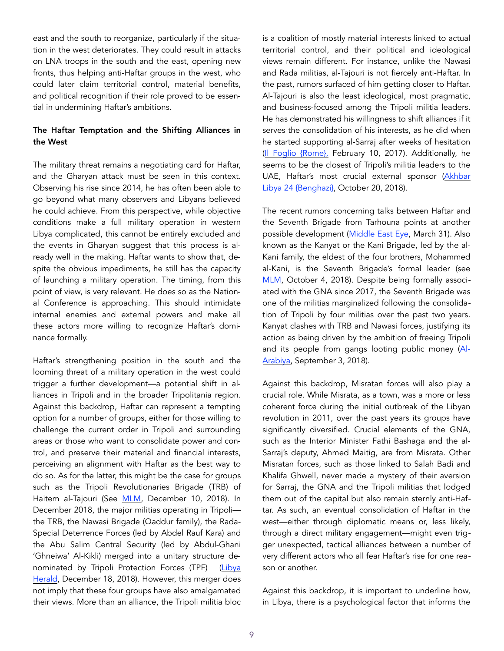east and the south to reorganize, particularly if the situation in the west deteriorates. They could result in attacks on LNA troops in the south and the east, opening new fronts, thus helping anti-Haftar groups in the west, who could later claim territorial control, material benefits, and political recognition if their role proved to be essential in undermining Haftar's ambitions.

## The Haftar Temptation and the Shifting Alliances in the West

The military threat remains a negotiating card for Haftar, and the Gharyan attack must be seen in this context. Observing his rise since 2014, he has often been able to go beyond what many observers and Libyans believed he could achieve. From this perspective, while objective conditions make a full military operation in western Libya complicated, this cannot be entirely excluded and the events in Gharyan suggest that this process is already well in the making. Haftar wants to show that, despite the obvious impediments, he still has the capacity of launching a military operation. The timing, from this point of view, is very relevant. He does so as the National Conference is approaching. This should intimidate internal enemies and external powers and make all these actors more willing to recognize Haftar's dominance formally.

Haftar's strengthening position in the south and the looming threat of a military operation in the west could trigger a further development—a potential shift in alliances in Tripoli and in the broader Tripolitania region. Against this backdrop, Haftar can represent a tempting option for a number of groups, either for those willing to challenge the current order in Tripoli and surrounding areas or those who want to consolidate power and control, and preserve their material and financial interests, perceiving an alignment with Haftar as the best way to do so. As for the latter, this might be the case for groups such as the Tripoli Revolutionaries Brigade (TRB) of Haitem al-Tajouri (See [MLM](https://jamestown.org/program/pragmatism-business-flexibility-a-profile-of-tripoli-revolutionaries-brigade-leader-haithem-al-tajouri/), December 10, 2018). In December 2018, the major militias operating in Tripoli the TRB, the Nawasi Brigade (Qaddur family), the Rada-Special Deterrence Forces (led by Abdel Rauf Kara) and the Abu Salim Central Security (led by Abdul-Ghani 'Ghneiwa' Al-Kikli) merged into a unitary structure denominated by Tripoli Protection Forces (TPF) (Libya [Herald,](https://www.libyaherald.com/2018/12/18/tripoli-militias-announce-unification-into-new-tripoli-protection-force/) December 18, 2018). However, this merger does not imply that these four groups have also amalgamated their views. More than an alliance, the Tripoli militia bloc

is a coalition of mostly material interests linked to actual territorial control, and their political and ideological views remain different. For instance, unlike the Nawasi and Rada militias, al-Tajouri is not fiercely anti-Haftar. In the past, rumors surfaced of him getting closer to Haftar. Al-Tajouri is also the least ideological, most pragmatic, and business-focused among the Tripoli militia leaders. He has demonstrated his willingness to shift alliances if it serves the consolidation of his interests, as he did when he started supporting al-Sarraj after weeks of hesitation ([Il Foglio {Rome},](https://www.ilfoglio.it/esteri/2017/02/10/news/libia-italia-negozia-per-salvare-il-premier-serraj--119638/) February 10, 2017). Additionally, he seems to be the closest of Tripoli's militia leaders to the UAE, Haftar's most crucial external sponsor (Akhbar [Libya 24 {Benghazi},](https://akhbarlibya24.net/archives/142111/) October 20, 2018).

The recent rumors concerning talks between Haftar and the Seventh Brigade from Tarhouna points at another possible development [\(Middle East Eye,](https://www.middleeasteye.net/news/hoping-peace-preparing-war-libya-brink-tripoli-showdown) March 31). Also known as the Kanyat or the Kani Brigade, led by the al-Kani family, the eldest of the four brothers, Mohammed al-Kani, is the Seventh Brigade's formal leader (see [MLM,](https://jamestown.org/program/al-tajouri-al-kani-badi-and-trabelsi-the-militia-leaders-fighting-for-tripoli/) October 4, 2018). Despite being formally associated with the GNA since 2017, the Seventh Brigade was one of the militias marginalized following the consolidation of Tripoli by four militias over the past two years. Kanyat clashes with TRB and Nawasi forces, justifying its action as being driven by the ambition of freeing Tripoli and its people from gangs looting public money [\(Al-](https://english.alarabiya.net/en/features/2018/09/03/List-of-the-Libyan-militias-fighting-in-Tripoli-s-deadly-clashes.html)[Arabiya,](https://english.alarabiya.net/en/features/2018/09/03/List-of-the-Libyan-militias-fighting-in-Tripoli-s-deadly-clashes.html) September 3, 2018).

Against this backdrop, Misratan forces will also play a crucial role. While Misrata, as a town, was a more or less coherent force during the initial outbreak of the Libyan revolution in 2011, over the past years its groups have significantly diversified. Crucial elements of the GNA, such as the Interior Minister Fathi Bashaga and the al-Sarraj's deputy, Ahmed Maitig, are from Misrata. Other Misratan forces, such as those linked to Salah Badi and Khalifa Ghwell, never made a mystery of their aversion for Sarraj, the GNA and the Tripoli militias that lodged them out of the capital but also remain sternly anti-Haftar. As such, an eventual consolidation of Haftar in the west—either through diplomatic means or, less likely, through a direct military engagement—might even trigger unexpected, tactical alliances between a number of very different actors who all fear Haftar's rise for one reason or another.

Against this backdrop, it is important to underline how, in Libya, there is a psychological factor that informs the